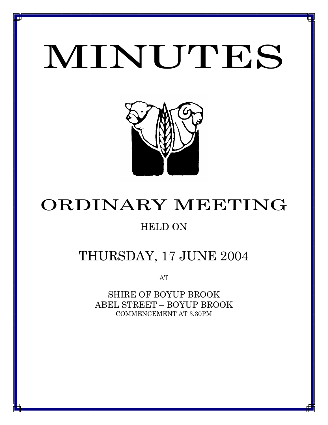# MINUTES

*MINUTES OF THE ORDINARY MEETING OF COUNCIL HELD ON 17 JUNE 2004*



# ORDINARY MEETING

# HELD ON

# THURSDAY, 17 JUNE 2004

AT

SHIRE OF BOYUP BROOK ABEL STREET – BOYUP BROOK COMMENCEMENT AT 3.30PM

<u>1 - Johann Johann Barbara, martxa a shekara 19</u>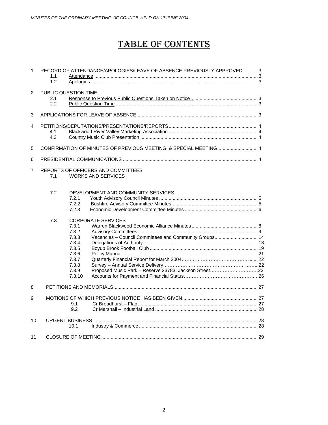## TABLE OF CONTENTS

| $\mathbf{1}$                                                                             | RECORD OF ATTENDANCE/APOLOGIES/LEAVE OF ABSENCE PREVIOUSLY APPROVED  3<br>1.1<br>1.2 |                                                                                         |                                                                                     |  |
|------------------------------------------------------------------------------------------|--------------------------------------------------------------------------------------|-----------------------------------------------------------------------------------------|-------------------------------------------------------------------------------------|--|
| $\overline{2}$                                                                           | PUBLIC QUESTION TIME<br>2.1<br>2.2                                                   |                                                                                         |                                                                                     |  |
| 3                                                                                        |                                                                                      |                                                                                         |                                                                                     |  |
| $\overline{4}$                                                                           | 4.1<br>4.2                                                                           |                                                                                         |                                                                                     |  |
| 5                                                                                        |                                                                                      |                                                                                         | CONFIRMATION OF MINUTES OF PREVIOUS MEETING & SPECIAL MEETING 4                     |  |
| 6                                                                                        |                                                                                      |                                                                                         |                                                                                     |  |
| $\overline{7}$<br>REPORTS OF OFFICERS AND COMMITTEES<br><b>WORKS AND SERVICES</b><br>7.1 |                                                                                      |                                                                                         |                                                                                     |  |
|                                                                                          | 7.2                                                                                  | 7.2.1<br>7.2.2<br>7.2.3                                                                 | DEVELOPMENT AND COMMUNITY SERVICES                                                  |  |
|                                                                                          | 7.3                                                                                  | 7.3.1<br>7.3.2<br>7.3.3<br>7.3.4<br>7.3.5<br>7.3.6<br>7.3.7<br>7.3.8<br>7.3.9<br>7.3.10 | <b>CORPORATE SERVICES</b><br>Vacancies - Council Committees and Community Groups 14 |  |
| 8                                                                                        |                                                                                      |                                                                                         |                                                                                     |  |
| 9                                                                                        |                                                                                      | 9.1<br>9.2                                                                              |                                                                                     |  |
| 10                                                                                       |                                                                                      | 10.1                                                                                    |                                                                                     |  |
| 11                                                                                       |                                                                                      |                                                                                         |                                                                                     |  |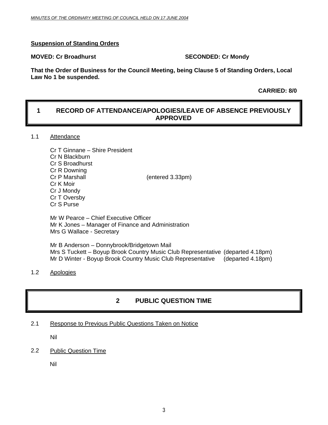#### **Suspension of Standing Orders**

#### **MOVED: Cr Broadhurst SECONDED: Cr Mondy**

**That the Order of Business for the Council Meeting, being Clause 5 of Standing Orders, Local Law No 1 be suspended.** 

 **CARRIED: 8/0** 

### **1 RECORD OF ATTENDANCE/APOLOGIES/LEAVE OF ABSENCE PREVIOUSLY APPROVED**

#### 1.1 Attendance

| Cr T Ginnane - Shire President |                  |
|--------------------------------|------------------|
| Cr N Blackburn                 |                  |
| Cr S Broadhurst                |                  |
| Cr R Downing                   |                  |
| Cr P Marshall                  | (entered 3.33pm) |
| Cr K Moir                      |                  |
| Cr J Mondy                     |                  |
| Cr T Oversby                   |                  |
| Cr S Purse                     |                  |

Mr W Pearce – Chief Executive Officer Mr K Jones – Manager of Finance and Administration Mrs G Wallace - Secretary

Mr B Anderson – Donnybrook/Bridgetown Mail Mrs S Tuckett – Boyup Brook Country Music Club Representative (departed 4.18pm) Mr D Winter - Boyup Brook Country Music Club Representative (departed 4.18pm)

#### 1.2 Apologies

### **2 PUBLIC QUESTION TIME**

#### 2.1 Response to Previous Public Questions Taken on Notice

Nil

#### 2.2 Public Question Time

Nil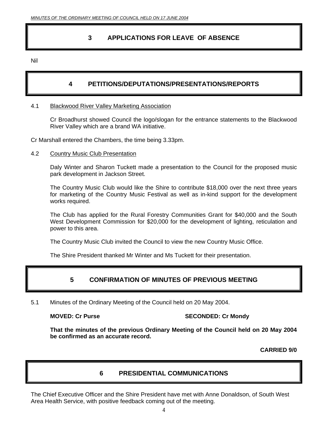### **3 APPLICATIONS FOR LEAVE OF ABSENCE**

Nil

### **4 PETITIONS/DEPUTATIONS/PRESENTATIONS/REPORTS**

#### 4.1 Blackwood River Valley Marketing Association

Cr Broadhurst showed Council the logo/slogan for the entrance statements to the Blackwood River Valley which are a brand WA initiative.

Cr Marshall entered the Chambers, the time being 3.33pm.

#### 4.2 Country Music Club Presentation

Daly Winter and Sharon Tuckett made a presentation to the Council for the proposed music park development in Jackson Street.

The Country Music Club would like the Shire to contribute \$18,000 over the next three years for marketing of the Country Music Festival as well as in-kind support for the development works required.

The Club has applied for the Rural Forestry Communities Grant for \$40,000 and the South West Development Commission for \$20,000 for the development of lighting, reticulation and power to this area.

The Country Music Club invited the Council to view the new Country Music Office.

The Shire President thanked Mr Winter and Ms Tuckett for their presentation.

### **5 CONFIRMATION OF MINUTES OF PREVIOUS MEETING**

5.1 Minutes of the Ordinary Meeting of the Council held on 20 May 2004.

**MOVED: Cr Purse SECONDED: Cr Mondy** 

**That the minutes of the previous Ordinary Meeting of the Council held on 20 May 2004 be confirmed as an accurate record.** 

**CARRIED 9/0** 

### **6 PRESIDENTIAL COMMUNICATIONS**

The Chief Executive Officer and the Shire President have met with Anne Donaldson, of South West Area Health Service, with positive feedback coming out of the meeting.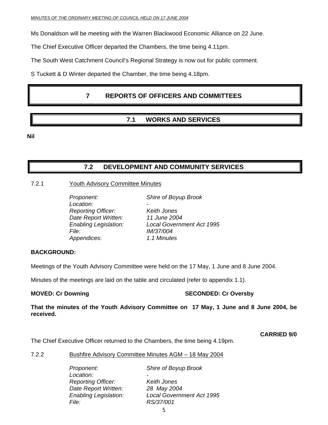Ms Donaldson will be meeting with the Warren Blackwood Economic Alliance on 22 June.

The Chief Executive Officer departed the Chambers, the time being 4.11pm.

The South West Catchment Council's Regional Strategy is now out for public comment.

S Tuckett & D Winter departed the Chamber, the time being 4.18pm.

### **7 REPORTS OF OFFICERS AND COMMITTEES**

### **7.1 WORKS AND SERVICES**

**Nil** 

### **7.2 DEVELOPMENT AND COMMUNITY SERVICES**

#### 7.2.1 Youth Advisory Committee Minutes

 *Proponent: Shire of Boyup Brook*  Location:  *Reporting Officer: Keith Jones Date Report Written: 11 June 2004 Enabling Legislation: Local Government Act 1995 File: IM/37/004 Appendices*: *1.1 Minutes*

#### **BACKGROUND:**

Meetings of the Youth Advisory Committee were held on the 17 May, 1 June and 8 June 2004.

Minutes of the meetings are laid on the table and circulated (refer to appendix 1.1).

### **MOVED: Cr Downing Case of Cr Oversby SECONDED: Cr Oversby**

**That the minutes of the Youth Advisory Committee on 17 May, 1 June and 8 June 2004, be received.** 

#### **CARRIED 9/0**

The Chief Executive Officer returned to the Chambers, the time being 4.19pm.

#### 7.2.2 Bushfire Advisory Committee Minutes AGM – 18 May 2004

| Shire of Boyup Brook             |
|----------------------------------|
|                                  |
| Keith Jones                      |
| 28 May 2004                      |
| <b>Local Government Act 1995</b> |
| RS/37/001                        |
|                                  |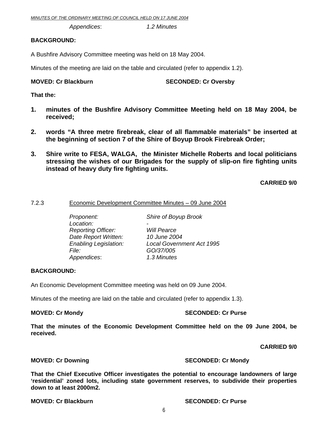*Appendices*: *1.2 Minutes* 

#### **BACKGROUND:**

A Bushfire Advisory Committee meeting was held on 18 May 2004.

Minutes of the meeting are laid on the table and circulated (refer to appendix 1.2).

#### **MOVED: Cr Blackburn SECONDED: Cr Oversby**

**That the:** 

- **1. minutes of the Bushfire Advisory Committee Meeting held on 18 May 2004, be received;**
- **2. words "A three metre firebreak, clear of all flammable materials" be inserted at the beginning of section 7 of the Shire of Boyup Brook Firebreak Order;**
- **3. Shire write to FESA, WALGA, the Minister Michelle Roberts and local politicians stressing the wishes of our Brigades for the supply of slip-on fire fighting units instead of heavy duty fire fighting units.**

**CARRIED 9/0** 

#### 7.2.3 Economic Development Committee Minutes – 09 June 2004

| Proponent:                   | Shire of Boyup Brook             |
|------------------------------|----------------------------------|
| Location:                    |                                  |
| <b>Reporting Officer:</b>    | <b>Will Pearce</b>               |
| Date Report Written:         | 10 June 2004                     |
| <b>Enabling Legislation:</b> | <b>Local Government Act 1995</b> |
| File:                        | GO/37/005                        |
| Appendices:                  | 1.3 Minutes                      |
|                              |                                  |

#### **BACKGROUND:**

An Economic Development Committee meeting was held on 09 June 2004.

Minutes of the meeting are laid on the table and circulated (refer to appendix 1.3).

### **MOVED: Cr Mondy SECONDED: Cr Purse**

**That the minutes of the Economic Development Committee held on the 09 June 2004, be received.** 

#### **CARRIED 9/0**

### **MOVED: Cr Downing Case 2018 10 SECONDED: Cr Mondy SECONDED: Cr Mondy**

**That the Chief Executive Officer investigates the potential to encourage landowners of large 'residential' zoned lots, including state government reserves, to subdivide their properties down to at least 2000m2.** 

#### **MOVED: Cr Blackburn SECONDED: Cr Purse 3**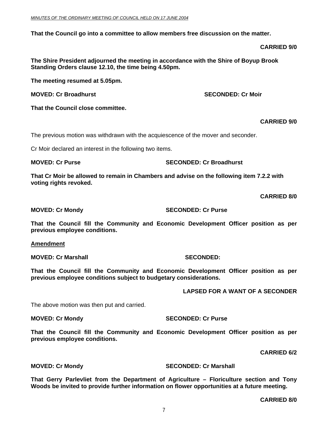**That the Council go into a committee to allow members free discussion on the matter.** 

#### **CARRIED 9/0**

**The Shire President adjourned the meeting in accordance with the Shire of Boyup Brook Standing Orders clause 12.10, the time being 4.50pm.** 

**The meeting resumed at 5.05pm.** 

**MOVED: Cr Broadhurst SECONDED: Cr Moir and SECONDED: Cr Moir** 

**That the Council close committee.** 

**CARRIED 9/0** 

The previous motion was withdrawn with the acquiescence of the mover and seconder.

Cr Moir declared an interest in the following two items.

**MOVED: Cr Purse SECONDED: Cr Broadhurst** 

**That Cr Moir be allowed to remain in Chambers and advise on the following item 7.2.2 with voting rights revoked.** 

**CARRIED 8/0** 

**MOVED: Cr Mondy SECONDED: Cr Purse** 

**That the Council fill the Community and Economic Development Officer position as per previous employee conditions.** 

**Amendment**

**MOVED: Cr Marshall SECONDED:** 

**That the Council fill the Community and Economic Development Officer position as per previous employee conditions subject to budgetary considerations.** 

**LAPSED FOR A WANT OF A SECONDER** 

The above motion was then put and carried.

**MOVED: Cr Mondy SECONDED: Cr Purse** 

**That the Council fill the Community and Economic Development Officer position as per previous employee conditions.** 

**CARRIED 6/2** 

**MOVED: Cr Mondy SECONDED: Cr Marshall** 

**That Gerry Parlevliet from the Department of Agriculture – Floriculture section and Tony Woods be invited to provide further information on flower opportunities at a future meeting.** 

**CARRIED 8/0**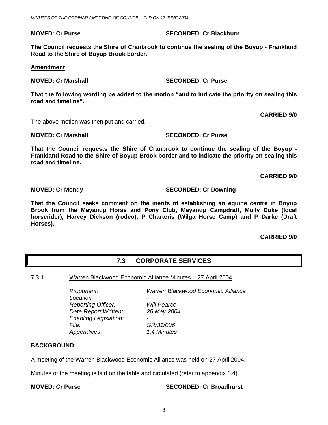#### **MOVED: Cr Purse SECONDED: Cr Blackburn 1999**

**The Council requests the Shire of Cranbrook to continue the sealing of the Boyup - Frankland Road to the Shire of Boyup Brook border.** 

#### **Amendment**

**MOVED: Cr Marshall SECONDED: Cr Purse** 

**That the following wording be added to the motion "and to indicate the priority on sealing this road and timeline".** 

**CARRIED 9/0** 

The above motion was then put and carried.

**MOVED: Cr Marshall SECONDED: Cr Purse** 

**That the Council requests the Shire of Cranbrook to continue the sealing of the Boyup - Frankland Road to the Shire of Boyup Brook border and to indicate the priority on sealing this road and timeline.** 

 **CARRIED 9/0** 

#### **MOVED: Cr Mondy SECONDED: Cr Downing**

**That the Council seeks comment on the merits of establishing an equine centre in Boyup Brook from the Mayanup Horse and Pony Club, Mayanup Campdraft, Molly Duke (local horserider), Harvey Dickson (rodeo), P Charteris (Wilga Horse Camp) and P Darke (Draft Horses).** 

**CARRIED 9/0** 

### **7.3 CORPORATE SERVICES**

7.3.1 Warren Blackwood Economic Alliance Minutes – 27 April 2004

Location:  *Reporting Officer: Will Pearce Date Report Written: 26 May 2004 Enabling Legislation: - File: GR/31/006 Appendices*: *1.4 Minutes* 

*Proponent: Warren Blackwood Economic Alliance* 

#### **BACKGROUND:**

A meeting of the Warren Blackwood Economic Alliance was held on 27 April 2004.

Minutes of the meeting is laid on the table and circulated (refer to appendix 1.4).

#### **MOVED: Cr Purse SECONDED: Cr Broadhurst**  SECONDED: Cr Broadhurst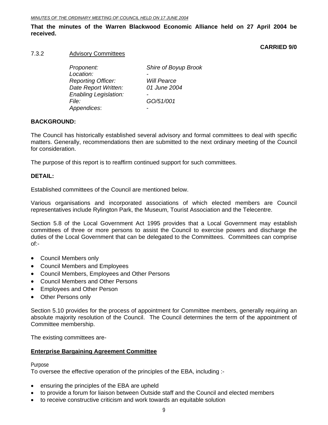#### **That the minutes of the Warren Blackwood Economic Alliance held on 27 April 2004 be received.**

### **CARRIED 9/0**

#### 7.3.2 Advisory Committees

| Proponent:                   | Shire of Boyup Brook     |
|------------------------------|--------------------------|
| Location:                    |                          |
| <b>Reporting Officer:</b>    | <b>Will Pearce</b>       |
| Date Report Written:         | 01 June 2004             |
| <b>Enabling Legislation:</b> | -                        |
| <i>File:</i>                 | GO/51/001                |
| Appendices:                  | $\overline{\phantom{0}}$ |

#### **BACKGROUND:**

The Council has historically established several advisory and formal committees to deal with specific matters. Generally, recommendations then are submitted to the next ordinary meeting of the Council for consideration.

The purpose of this report is to reaffirm continued support for such committees.

#### **DETAIL:**

Established committees of the Council are mentioned below.

Various organisations and incorporated associations of which elected members are Council representatives include Rylington Park, the Museum, Tourist Association and the Telecentre.

Section 5.8 of the Local Government Act 1995 provides that a Local Government may establish committees of three or more persons to assist the Council to exercise powers and discharge the duties of the Local Government that can be delegated to the Committees. Committees can comprise of:-

- Council Members only
- Council Members and Employees
- Council Members, Employees and Other Persons
- Council Members and Other Persons
- Employees and Other Person
- Other Persons only

Section 5.10 provides for the process of appointment for Committee members, generally requiring an absolute majority resolution of the Council. The Council determines the term of the appointment of Committee membership.

The existing committees are-

#### **Enterprise Bargaining Agreement Committee**

Purpose

To oversee the effective operation of the principles of the EBA, including :-

- ensuring the principles of the EBA are upheld
- to provide a forum for liaison between Outside staff and the Council and elected members
- to receive constructive criticism and work towards an equitable solution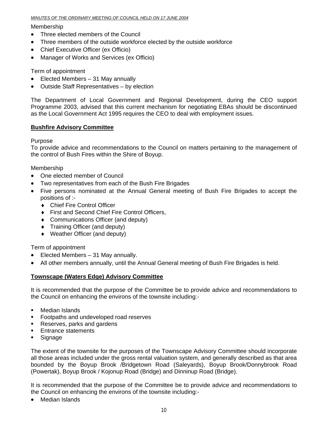#### *MINUTES OF THE ORDINARY MEETING OF COUNCIL HELD ON 17 JUNE 2004*

#### Membership

- Three elected members of the Council
- Three members of the outside workforce elected by the outside workforce
- Chief Executive Officer (ex Officio)
- Manager of Works and Services (ex Officio)

Term of appointment

- Elected Members 31 May annually
- Outside Staff Representatives by election

The Department of Local Government and Regional Development, during the CEO support Programme 2003, advised that this current mechanism for negotiating EBAs should be discontinued as the Local Government Act 1995 requires the CEO to deal with employment issues.

#### **Bushfire Advisory Committee**

#### Purpose

To provide advice and recommendations to the Council on matters pertaining to the management of the control of Bush Fires within the Shire of Boyup.

#### Membership

- One elected member of Council
- Two representatives from each of the Bush Fire Brigades
- Five persons nominated at the Annual General meeting of Bush Fire Brigades to accept the positions of :-
	- ♦ Chief Fire Control Officer
	- ♦ First and Second Chief Fire Control Officers,
	- ♦ Communications Officer (and deputy)
	- ♦ Training Officer (and deputy)
	- ♦ Weather Officer (and deputy)

Term of appointment

- Elected Members 31 May annually.
- All other members annually, until the Annual General meeting of Bush Fire Brigades is held.

### **Townscape (Waters Edge) Advisory Committee**

It is recommended that the purpose of the Committee be to provide advice and recommendations to the Council on enhancing the environs of the townsite including:-

- **Median Islands**
- **Footpaths and undeveloped road reserves**
- Reserves, parks and gardens
- **Entrance statements**
- **Signage**

The extent of the townsite for the purposes of the Townscape Advisory Committee should incorporate all those areas included under the gross rental valuation system, and generally described as that area bounded by the Boyup Brook /Bridgetown Road (Saleyards), Boyup Brook/Donnybrook Road (Powertak), Boyup Brook / Kojonup Road (Bridge) and Dinninup Road (Bridge).

It is recommended that the purpose of the Committee be to provide advice and recommendations to the Council on enhancing the environs of the townsite including:-

• Median Islands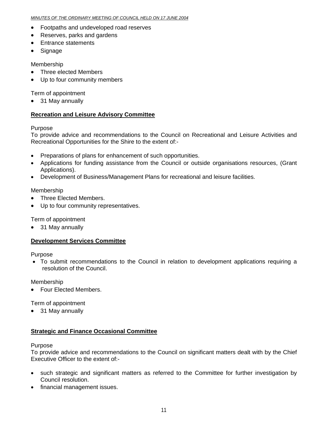- Footpaths and undeveloped road reserves
- Reserves, parks and gardens
- Entrance statements
- Signage

Membership

- Three elected Members
- Up to four community members

Term of appointment

• 31 May annually

#### **Recreation and Leisure Advisory Committee**

Purpose

To provide advice and recommendations to the Council on Recreational and Leisure Activities and Recreational Opportunities for the Shire to the extent of:-

- Preparations of plans for enhancement of such opportunities.
- Applications for funding assistance from the Council or outside organisations resources, (Grant Applications).
- Development of Business/Management Plans for recreational and leisure facilities.

#### Membership

- Three Elected Members.
- Up to four community representatives.

Term of appointment

• 31 May annually

### **Development Services Committee**

Purpose

• To submit recommendations to the Council in relation to development applications requiring a resolution of the Council.

Membership

• Four Elected Members.

Term of appointment

• 31 May annually

#### **Strategic and Finance Occasional Committee**

#### Purpose

To provide advice and recommendations to the Council on significant matters dealt with by the Chief Executive Officer to the extent of:-

- such strategic and significant matters as referred to the Committee for further investigation by Council resolution.
- financial management issues.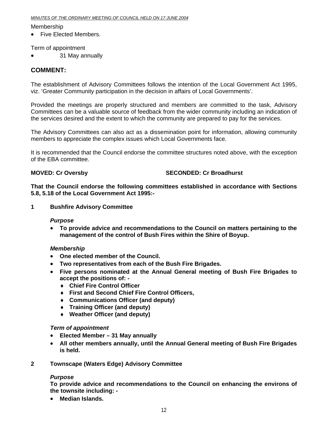#### *MINUTES OF THE ORDINARY MEETING OF COUNCIL HELD ON 17 JUNE 2004*

Membership

• Five Flected Members.

Term of appointment

• 31 May annually

#### **COMMENT:**

The establishment of Advisory Committees follows the intention of the Local Government Act 1995, viz. 'Greater Community participation in the decision in affairs of Local Governments'.

Provided the meetings are properly structured and members are committed to the task, Advisory Committees can be a valuable source of feedback from the wider community including an indication of the services desired and the extent to which the community are prepared to pay for the services.

The Advisory Committees can also act as a dissemination point for information, allowing community members to appreciate the complex issues which Local Governments face.

It is recommended that the Council endorse the committee structures noted above, with the exception of the EBA committee.

#### **MOVED: Cr Oversby SECONDED: Cr Broadhurst**  SECONDED: Cr Broadhurst

**That the Council endorse the following committees established in accordance with Sections 5.8, 5.18 of the Local Government Act 1995:-** 

**1 Bushfire Advisory Committee** 

#### *Purpose*

• **To provide advice and recommendations to the Council on matters pertaining to the management of the control of Bush Fires within the Shire of Boyup.** 

#### *Membership*

- **One elected member of the Council.**
- **Two representatives from each of the Bush Fire Brigades.**
- **Five persons nominated at the Annual General meeting of Bush Fire Brigades to accept the positions of: -** 
	- ♦ **Chief Fire Control Officer**
	- ♦ **First and Second Chief Fire Control Officers,**
	- ♦ **Communications Officer (and deputy)**
	- ♦ **Training Officer (and deputy)**
	- ♦ **Weather Officer (and deputy)**

#### *Term of appointment*

- **Elected Member 31 May annually**
- **All other members annually, until the Annual General meeting of Bush Fire Brigades is held.**
- **2 Townscape (Waters Edge) Advisory Committee**

#### *Purpose*

**To provide advice and recommendations to the Council on enhancing the environs of the townsite including: -** 

• **Median Islands.**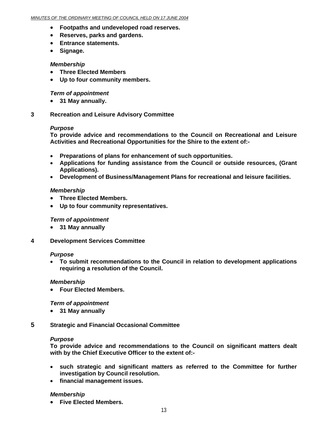- **Footpaths and undeveloped road reserves.**
- **Reserves, parks and gardens.**
- **Entrance statements.**
- **Signage.**

#### *Membership*

- **Three Elected Members**
- **Up to four community members.**

#### *Term of appointment*

- **31 May annually.**
- **3 Recreation and Leisure Advisory Committee**

#### *Purpose*

**To provide advice and recommendations to the Council on Recreational and Leisure Activities and Recreational Opportunities for the Shire to the extent of:-** 

- **Preparations of plans for enhancement of such opportunities.**
- **Applications for funding assistance from the Council or outside resources, (Grant Applications).**
- **Development of Business/Management Plans for recreational and leisure facilities.**

#### *Membership*

- **Three Elected Members.**
- **Up to four community representatives.**

#### *Term of appointment*

- **31 May annually**
- **4 Development Services Committee**

#### *Purpose*

• **To submit recommendations to the Council in relation to development applications requiring a resolution of the Council.** 

#### *Membership*

• **Four Elected Members.** 

#### *Term of appointment*

- **31 May annually**
- **5 Strategic and Financial Occasional Committee**

#### *Purpose*

**To provide advice and recommendations to the Council on significant matters dealt with by the Chief Executive Officer to the extent of:-** 

- **such strategic and significant matters as referred to the Committee for further investigation by Council resolution.**
- **financial management issues.**

#### *Membership*

• **Five Elected Members.**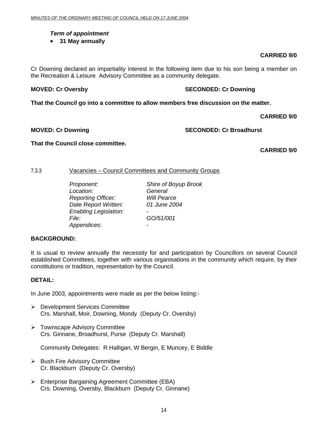#### *Term of appointment*

• **31 May annually**

#### **CARRIED 9/0**

Cr Downing declared an impartiality interest in the following item due to his son being a member on the Recreation & Leisure Advisory Committee as a community delegate.

**MOVED: Cr Oversby SECONDED: Cr Downing SECONDED: Cr Downing 3** 

**That the Council go into a committee to allow members free discussion on the matter.** 

 **CARRIED 9/0** 

**MOVED: Cr Downing Case Conduct 2018 SECONDED: Cr Broadhurst** 

#### **That the Council close committee.**

 **CARRIED 9/0** 

#### 7.3.3 Vacancies – Council Committees and Community Groups

 *Proponent: Shire of Boyup Brook Location: General Reporting Officer: Will Pearce Date Report Written: 01 June 2004 Enabling Legislation: - File: GO/51/001 Appendices*: -

#### **BACKGROUND:**

It is usual to review annually the necessity for and participation by Councillors on several Council established Committees, together with various organisations in the community which require, by their constitutions or tradition, representation by the Council.

#### **DETAIL:**

In June 2003, appointments were made as per the below listing:-

- ¾ Development Services Committee Crs. Marshall, Moir, Downing, Mondy (Deputy Cr. Oversby)
- ¾ Townscape Advisory Committee Crs. Ginnane, Broadhurst, Purse (Deputy Cr. Marshall)

Community Delegates: R Halligan, W Bergin, E Muncey, E Biddle

- $\triangleright$  Bush Fire Advisory Committee Cr. Blackburn (Deputy Cr. Oversby)
- ¾ Enterprise Bargaining Agreement Committee (EBA) Crs. Downing, Oversby, Blackburn (Deputy Cr. Ginnane)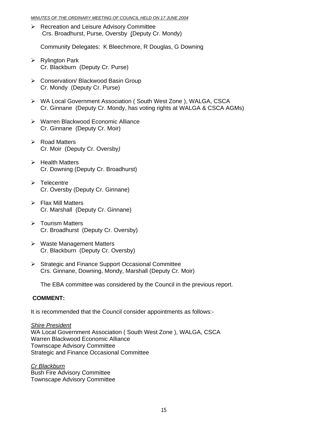#### *MINUTES OF THE ORDINARY MEETING OF COUNCIL HELD ON 17 JUNE 2004*

 $\triangleright$  Recreation and Leisure Advisory Committee Crs. Broadhurst, Purse, Oversby (Deputy Cr. Mondy)

Community Delegates: K Bleechmore, R Douglas, G Downing

- $\triangleright$  Rylington Park Cr. Blackburn (Deputy Cr. Purse)
- ¾ Conservation/ Blackwood Basin Group Cr. Mondy (Deputy Cr. Purse)
- ¾ WA Local Government Association ( South West Zone ), WALGA, CSCA Cr. Ginnane (Deputy Cr. Mondy, has voting rights at WALGA & CSCA AGMs)
- ¾ Warren Blackwood Economic Alliance Cr. Ginnane (Deputy Cr. Moir)
- $\triangleright$  Road Matters Cr. Moir (Deputy Cr. Oversby*)*
- $\triangleright$  Health Matters Cr. Downing (Deputy Cr. Broadhurst)
- $\triangleright$  Telecentre Cr. Oversby (Deputy Cr. Ginnane)
- $\triangleright$  Flax Mill Matters Cr. Marshall (Deputy Cr. Ginnane)
- ¾ Tourism Matters Cr. Broadhurst (Deputy Cr. Oversby)
- ¾ Waste Management Matters Cr. Blackburn (Deputy Cr. Oversby)
- ¾ Strategic and Finance Support Occasional Committee Crs. Ginnane, Downing, Mondy, Marshall (Deputy Cr. Moir)

The EBA committee was considered by the Council in the previous report.

#### **COMMENT:**

It is recommended that the Council consider appointments as follows:-

*Shire President* WA Local Government Association ( South West Zone ), WALGA, CSCA Warren Blackwood Economic Alliance Townscape Advisory Committee Strategic and Finance Occasional Committee

*Cr Blackburn* Bush Fire Advisory Committee Townscape Advisory Committee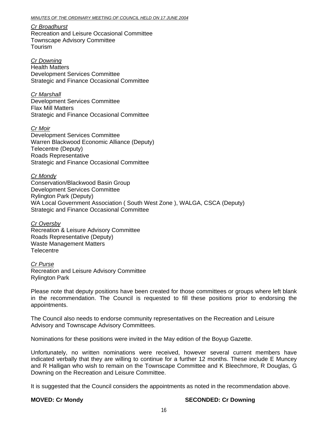*Cr Broadhurst* Recreation and Leisure Occasional Committee Townscape Advisory Committee Tourism

*Cr Downing* Health Matters Development Services Committee Strategic and Finance Occasional Committee

*Cr Marshall* Development Services Committee Flax Mill Matters Strategic and Finance Occasional Committee

*Cr Moir* Development Services Committee Warren Blackwood Economic Alliance (Deputy) Telecentre (Deputy) Roads Representative Strategic and Finance Occasional Committee

*Cr Mondy* Conservation/Blackwood Basin Group Development Services Committee Rylington Park (Deputy) WA Local Government Association ( South West Zone ), WALGA, CSCA (Deputy) Strategic and Finance Occasional Committee

*Cr Oversby* Recreation & Leisure Advisory Committee Roads Representative (Deputy) Waste Management Matters **Telecentre** 

*Cr Purse* Recreation and Leisure Advisory Committee Rylington Park

Please note that deputy positions have been created for those committees or groups where left blank in the recommendation. The Council is requested to fill these positions prior to endorsing the appointments.

The Council also needs to endorse community representatives on the Recreation and Leisure Advisory and Townscape Advisory Committees.

Nominations for these positions were invited in the May edition of the Boyup Gazette.

Unfortunately, no written nominations were received, however several current members have indicated verbally that they are willing to continue for a further 12 months. These include E Muncey and R Halligan who wish to remain on the Townscape Committee and K Bleechmore, R Douglas, G Downing on the Recreation and Leisure Committee.

It is suggested that the Council considers the appointments as noted in the recommendation above.

#### **MOVED: Cr Mondy SECONDED: Cr Downing**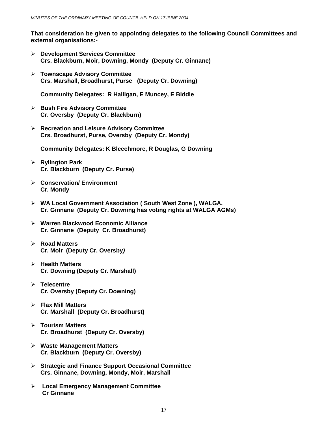**That consideration be given to appointing delegates to the following Council Committees and external organisations:-** 

- ¾ **Development Services Committee Crs. Blackburn, Moir, Downing, Mondy (Deputy Cr. Ginnane)**
- ¾ **Townscape Advisory Committee Crs. Marshall, Broadhurst, Purse (Deputy Cr. Downing)**

**Community Delegates: R Halligan, E Muncey, E Biddle** 

- ¾ **Bush Fire Advisory Committee Cr. Oversby (Deputy Cr. Blackburn)**
- ¾ **Recreation and Leisure Advisory Committee Crs. Broadhurst, Purse, Oversby (Deputy Cr. Mondy)**

**Community Delegates: K Bleechmore, R Douglas, G Downing** 

- ¾ **Rylington Park Cr. Blackburn (Deputy Cr. Purse)**
- ¾ **Conservation/ Environment Cr. Mondy**
- ¾ **WA Local Government Association ( South West Zone ), WALGA, Cr. Ginnane (Deputy Cr. Downing has voting rights at WALGA AGMs)**
- ¾ **Warren Blackwood Economic Alliance Cr. Ginnane (Deputy Cr. Broadhurst)**
- ¾ **Road Matters Cr. Moir (Deputy Cr. Oversby***)*
- ¾ **Health Matters Cr. Downing (Deputy Cr. Marshall)**
- ¾ **Telecentre Cr. Oversby (Deputy Cr. Downing)**
- ¾ **Flax Mill Matters Cr. Marshall (Deputy Cr. Broadhurst)**
- ¾ **Tourism Matters Cr. Broadhurst (Deputy Cr. Oversby)**
- ¾ **Waste Management Matters Cr. Blackburn (Deputy Cr. Oversby)**
- ¾ **Strategic and Finance Support Occasional Committee Crs. Ginnane, Downing, Mondy, Moir, Marshall**
- ¾ **Local Emergency Management Committee Cr Ginnane**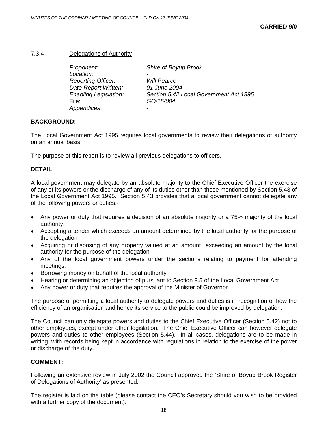#### 7.3.4 Delegations of Authority

| Proponent:                   | Shire of Boyup Brook                   |
|------------------------------|----------------------------------------|
| Location:                    |                                        |
| <b>Reporting Officer:</b>    | <b>Will Pearce</b>                     |
| Date Report Written:         | 01 June 2004                           |
| <b>Enabling Legislation:</b> | Section 5.42 Local Government Act 1995 |
| File:                        | GO/15/004                              |
| Appendices:                  |                                        |

#### **BACKGROUND:**

The Local Government Act 1995 requires local governments to review their delegations of authority on an annual basis.

The purpose of this report is to review all previous delegations to officers.

#### **DETAIL:**

A local government may delegate by an absolute majority to the Chief Executive Officer the exercise of any of its powers or the discharge of any of its duties other than those mentioned by Section 5.43 of the Local Government Act 1995. Section 5.43 provides that a local government cannot delegate any of the following powers or duties:-

- Any power or duty that requires a decision of an absolute majority or a 75% majority of the local authority.
- Accepting a tender which exceeds an amount determined by the local authority for the purpose of the delegation
- Acquiring or disposing of any property valued at an amount exceeding an amount by the local authority for the purpose of the delegation
- Any of the local government powers under the sections relating to payment for attending meetings.
- Borrowing money on behalf of the local authority
- Hearing or determining an objection of pursuant to Section 9.5 of the Local Government Act
- Any power or duty that requires the approval of the Minister of Governor

The purpose of permitting a local authority to delegate powers and duties is in recognition of how the efficiency of an organisation and hence its service to the public could be improved by delegation.

The Council can only delegate powers and duties to the Chief Executive Officer (Section 5.42) not to other employees, except under other legislation. The Chief Executive Officer can however delegate powers and duties to other employees (Section 5.44). In all cases, delegations are to be made in writing, with records being kept in accordance with regulations in relation to the exercise of the power or discharge of the duty.

#### **COMMENT:**

Following an extensive review in July 2002 the Council approved the 'Shire of Boyup Brook Register of Delegations of Authority' as presented.

The register is laid on the table (please contact the CEO's Secretary should you wish to be provided with a further copy of the document).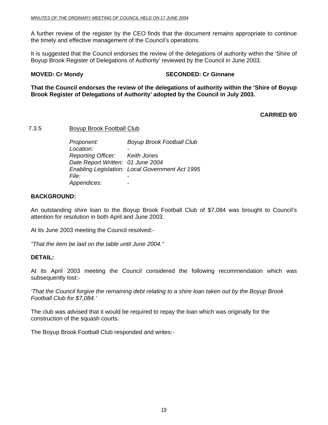A further review of the register by the CEO finds that the document remains appropriate to continue the timely and effective management of the Council's operations.

It is suggested that the Council endorses the review of the delegations of authority within the 'Shire of Boyup Brook Register of Delegations of Authority' reviewed by the Council in June 2003.

#### **MOVED: Cr Mondy SECONDED: Cr Ginnane**

**That the Council endorses the review of the delegations of authority within the 'Shire of Boyup Brook Register of Delegations of Authority' adopted by the Council in July 2003.** 

#### **CARRIED 9/0**

7.3.5 Boyup Brook Football Club

 *Proponent: Boyup Brook Football Club Location: - Reporting Officer: Keith Jones Date Report Written: 01 June 2004 Enabling Legislation: Local Government Act 1995 File: - Appendices*: -

#### **BACKGROUND:**

An outstanding shire loan to the Boyup Brook Football Club of \$7,084 was brought to Council's attention for resolution in both April and June 2003.

At its June 2003 meeting the Council resolved:-

*"That the item be laid on the table until June 2004."*

#### **DETAIL:**

At its April 2003 meeting the Council considered the following recommendation which was subsequently lost:-

*'That the Council forgive the remaining debt relating to a shire loan taken out by the Boyup Brook Football Club for \$7,084.'* 

The club was advised that it would be required to repay the loan which was originally for the construction of the squash courts.

The Boyup Brook Football Club responded and writes:-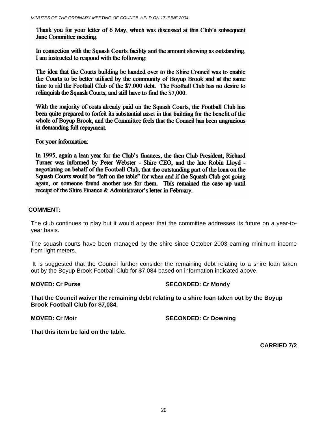Thank you for your letter of 6 May, which was discussed at this Club's subsequent **June Committee meeting.** 

In connection with the Squash Courts facility and the amount showing as outstanding. I am instructed to respond with the following:

The idea that the Courts building be handed over to the Shire Council was to enable the Courts to be better utilised by the community of Boyup Brook and at the same time to rid the Football Club of the \$7.000 debt. The Football Club has no desire to relinquish the Squash Courts, and still have to find the \$7,000.

With the majority of costs already paid on the Squash Courts, the Football Club has been quite prepared to forfeit its substantial asset in that building for the benefit of the whole of Boyup Brook, and the Committee feels that the Council has been ungracious in demanding full repayment.

For your information:

In 1995, again a lean year for the Club's finances, the then Club President, Richard Turner was informed by Peter Webster - Shire CEO, and the late Robin Lloyd negotiating on behalf of the Football Club, that the outstanding part of the loan on the Squash Courts would be "left on the table" for when and if the Squash Club got going again, or someone found another use for them. This remained the case up until receipt of the Shire Finance & Administrator's letter in February.

#### **COMMENT:**

The club continues to play but it would appear that the committee addresses its future on a year-toyear basis.

The squash courts have been managed by the shire since October 2003 earning minimum income from light meters.

It is suggested that the Council further consider the remaining debt relating to a shire loan taken out by the Boyup Brook Football Club for \$7,084 based on information indicated above.

#### **MOVED: Cr Purse SECONDED: Cr Mondy**

**That the Council waiver the remaining debt relating to a shire loan taken out by the Boyup Brook Football Club for \$7,084.** 

**MOVED: Cr Moir SECONDED: Cr Downing** 

**That this item be laid on the table.** 

**CARRIED 7/2**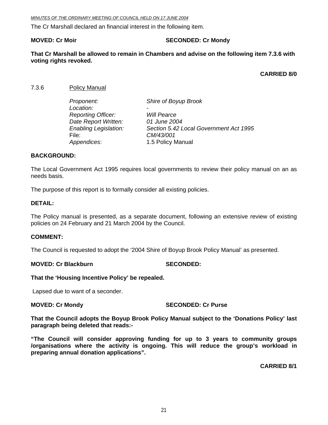*MINUTES OF THE ORDINARY MEETING OF COUNCIL HELD ON 17 JUNE 2004*

The Cr Marshall declared an financial interest in the following item.

#### **MOVED: Cr Moir** SECONDED: Cr Mondy

**That Cr Marshall be allowed to remain in Chambers and advise on the following item 7.3.6 with voting rights revoked.** 

**CARRIED 8/0** 

7.3.6 Policy Manual

| Proponent:                   | Shire of Boyup Brook                   |
|------------------------------|----------------------------------------|
| Location:                    |                                        |
| <b>Reporting Officer:</b>    | <b>Will Pearce</b>                     |
| Date Report Written:         | 01 June 2004                           |
| <b>Enabling Legislation:</b> | Section 5.42 Local Government Act 1995 |
| File:                        | CM/43/001                              |
| Appendices:                  | 1.5 Policy Manual                      |

#### **BACKGROUND:**

The Local Government Act 1995 requires local governments to review their policy manual on an as needs basis.

The purpose of this report is to formally consider all existing policies.

#### **DETAIL:**

The Policy manual is presented, as a separate document, following an extensive review of existing policies on 24 February and 21 March 2004 by the Council.

#### **COMMENT:**

The Council is requested to adopt the '2004 Shire of Boyup Brook Policy Manual' as presented.

#### **MOVED: Cr Blackburn SECONDED:**

#### **That the 'Housing Incentive Policy' be repealed.**

Lapsed due to want of a seconder.

#### **MOVED: Cr Mondy SECONDED: Cr Purse**

**That the Council adopts the Boyup Brook Policy Manual subject to the 'Donations Policy' last paragraph being deleted that reads:-** 

**"The Council will consider approving funding for up to 3 years to community groups /organisations where the activity is ongoing. This will reduce the group's workload in preparing annual donation applications".** 

**CARRIED 8/1**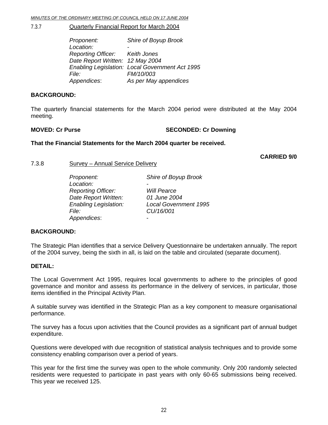#### 7.3.7 Quarterly Financial Report for March 2004

 *Proponent: Shire of Boyup Brook Location: - Reporting Officer: Keith Jones Date Report Written: 12 May 2004 Enabling Legislation: Local Government Act 1995 File: FM/10/003 Appendices*: *As per May appendices* 

#### **BACKGROUND:**

The quarterly financial statements for the March 2004 period were distributed at the May 2004 meeting.

#### **MOVED: Cr Purse SECONDED: Cr Downing**

#### **That the Financial Statements for the March 2004 quarter be received.**

**CARRIED 9/0** 

7.3.8 Survey – Annual Service Delivery

| Proponent:                   | Shire of Boyup Brook         |
|------------------------------|------------------------------|
| Location:                    | -                            |
| <b>Reporting Officer:</b>    | <b>Will Pearce</b>           |
| Date Report Written:         | 01 June 2004                 |
| <b>Enabling Legislation:</b> | <b>Local Government 1995</b> |
| <i>File:</i>                 | CU/16/001                    |
| Appendices:                  | $\overline{\phantom{0}}$     |

#### **BACKGROUND:**

The Strategic Plan identifies that a service Delivery Questionnaire be undertaken annually. The report of the 2004 survey, being the sixth in all, is laid on the table and circulated (separate document).

#### **DETAIL:**

The Local Government Act 1995, requires local governments to adhere to the principles of good governance and monitor and assess its performance in the delivery of services, in particular, those items identified in the Principal Activity Plan.

A suitable survey was identified in the Strategic Plan as a key component to measure organisational performance.

The survey has a focus upon activities that the Council provides as a significant part of annual budget expenditure.

Questions were developed with due recognition of statistical analysis techniques and to provide some consistency enabling comparison over a period of years.

This year for the first time the survey was open to the whole community. Only 200 randomly selected residents were requested to participate in past years with only 60-65 submissions being received. This year we received 125.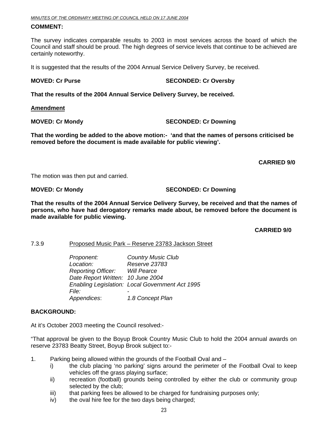#### **COMMENT:**

The survey indicates comparable results to 2003 in most services across the board of which the Council and staff should be proud. The high degrees of service levels that continue to be achieved are certainly noteworthy.

It is suggested that the results of the 2004 Annual Service Delivery Survey, be received.

#### **MOVED: Cr Purse SECONDED: Cr Oversby**

**That the results of the 2004 Annual Service Delivery Survey, be received.** 

**Amendment**

**MOVED: Cr Mondy SECONDED: Cr Downing** 

**That the wording be added to the above motion:- 'and that the names of persons criticised be removed before the document is made available for public viewing'.** 

 **CARRIED 9/0** 

The motion was then put and carried.

**MOVED: Cr Mondy SECONDED: Cr Downing** 

**That the results of the 2004 Annual Service Delivery Survey, be received and that the names of persons, who have had derogatory remarks made about, be removed before the document is made available for public viewing.** 

**CARRIED 9/0** 

7.3.9 Proposed Music Park – Reserve 23783 Jackson Street

 *Proponent: Country Music Club Location: Reserve 23783 Reporting Officer: Will Pearce Date Report Written: 10 June 2004 Enabling Legislation: Local Government Act 1995 File: - Appendices*: *1.8 Concept Plan*

#### **BACKGROUND:**

At it's October 2003 meeting the Council resolved:-

"That approval be given to the Boyup Brook Country Music Club to hold the 2004 annual awards on reserve 23783 Beatty Street, Boyup Brook subject to:-

- 1. Parking being allowed within the grounds of the Football Oval and
	- i) the club placing 'no parking' signs around the perimeter of the Football Oval to keep vehicles off the grass playing surface;
	- ii) recreation (football) grounds being controlled by either the club or community group selected by the club;
	- iii) that parking fees be allowed to be charged for fundraising purposes only;
	- iv) the oval hire fee for the two days being charged;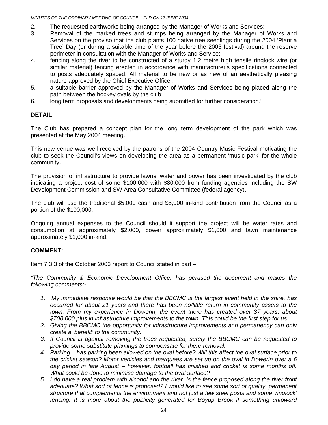- 2. The requested earthworks being arranged by the Manager of Works and Services;
- 3. Removal of the marked trees and stumps being arranged by the Manager of Works and Services on the proviso that the club plants 100 native tree seedlings during the 2004 'Plant a Tree' Day (or during a suitable time of the year before the 2005 festival) around the reserve perimeter in consultation with the Manager of Works and Service;
- 4. fencing along the river to be constructed of a sturdy 1.2 metre high tensile ringlock wire (or similar material) fencing erected in accordance with manufacturer's specifications connected to posts adequately spaced. All material to be new or as new of an aesthetically pleasing nature approved by the Chief Executive Officer;
- 5. a suitable barrier approved by the Manager of Works and Services being placed along the path between the hockey ovals by the club;
- 6. long term proposals and developments being submitted for further consideration."

#### **DETAIL:**

The Club has prepared a concept plan for the long term development of the park which was presented at the May 2004 meeting.

This new venue was well received by the patrons of the 2004 Country Music Festival motivating the club to seek the Council's views on developing the area as a permanent 'music park' for the whole community.

The provision of infrastructure to provide lawns, water and power has been investigated by the club indicating a project cost of some \$100,000 with \$80,000 from funding agencies including the SW Development Commission and SW Area Consultative Committee (federal agency).

The club will use the traditional \$5,000 cash and \$5,000 in-kind contribution from the Council as a portion of the \$100,000.

Ongoing annual expenses to the Council should it support the project will be water rates and consumption at approximately \$2,000, power approximately \$1,000 and lawn maintenance approximately \$1,000 in-kind**.** 

#### **COMMENT:**

Item 7.3.3 of the October 2003 report to Council stated in part –

*"The Community & Economic Development Officer has perused the document and makes the following comments:-* 

- *1. 'My immediate response would be that the BBCMC is the largest event held in the shire, has occurred for about 21 years and there has been no/little return in community assets to the town. From my experience in Dowerin, the event there has created over 37 years, about \$700,000 plus in infrastructure improvements to the town. This could be the first step for us.*
- *2. Giving the BBCMC the opportunity for infrastructure improvements and permanency can only create a 'benefit' to the community.*
- *3. If Council is against removing the trees requested, surely the BBCMC can be requested to provide some substitute plantings to compensate for there removal.*
- *4. Parking has parking been allowed on the oval before? Will this affect the oval surface prior to the cricket season? Motor vehicles and marquees are set up on the oval in Dowerin over a 6 day period in late August – however, football has finished and cricket is some months off. What could be done to minimise damage to the oval surface?*
- *5. I do have a real problem with alcohol and the river. Is the fence proposed along the river front adequate? What sort of fence is proposed? I would like to see some sort of quality, permanent structure that complements the environment and not just a few steel posts and some 'ringlock' fencing. It is more about the publicity generated for Boyup Brook if something untoward*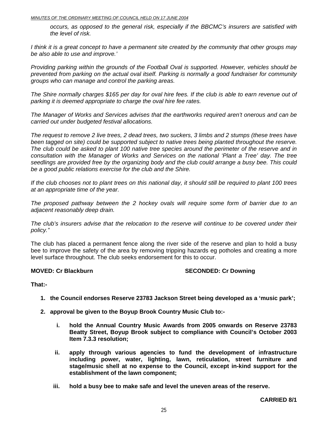#### *MINUTES OF THE ORDINARY MEETING OF COUNCIL HELD ON 17 JUNE 2004*

*occurs, as opposed to the general risk, especially if the BBCMC's insurers are satisfied with the level of risk.* 

*I think it is a great concept to have a permanent site created by the community that other groups may be also able to use and improve.'* 

*Providing parking within the grounds of the Football Oval is supported. However, vehicles should be prevented from parking on the actual oval itself. Parking is normally a good fundraiser for community groups who can manage and control the parking areas.* 

*The Shire normally charges \$165 per day for oval hire fees. If the club is able to earn revenue out of parking it is deemed appropriate to charge the oval hire fee rates.* 

*The Manager of Works and Services advises that the earthworks required aren't onerous and can be carried out under budgeted festival allocations.* 

*The request to remove 2 live trees, 2 dead trees, two suckers, 3 limbs and 2 stumps (these trees have*  been tagged on site) could be supported subject to native trees being planted throughout the reserve. *The club could be asked to plant 100 native tree species around the perimeter of the reserve and in*  consultation with the Manager of Works and Services on the national 'Plant a Tree' day. The tree *seedlings are provided free by the organizing body and the club could arrange a busy bee. This could be a good public relations exercise for the club and the Shire.* 

*If the club chooses not to plant trees on this national day, it should still be required to plant 100 trees at an appropriate time of the year.* 

*The proposed pathway between the 2 hockey ovals will require some form of barrier due to an adjacent reasonably deep drain.* 

*The club's insurers advise that the relocation to the reserve will continue to be covered under their policy."* 

The club has placed a permanent fence along the river side of the reserve and plan to hold a busy bee to improve the safety of the area by removing tripping hazards eg potholes and creating a more level surface throughout. The club seeks endorsement for this to occur.

#### **MOVED: Cr Blackburn SECONDED: Cr Downing**

**That:-** 

- **1. the Council endorses Reserve 23783 Jackson Street being developed as a 'music park';**
- **2. approval be given to the Boyup Brook Country Music Club to:** 
	- **i. hold the Annual Country Music Awards from 2005 onwards on Reserve 23783 Beatty Street, Boyup Brook subject to compliance with Council's October 2003 Item 7.3.3 resolution;**
	- **ii. apply through various agencies to fund the development of infrastructure including power, water, lighting, lawn, reticulation, street furniture and stage/music shell at no expense to the Council, except in-kind support for the establishment of the lawn component;**
	- **iii. hold a busy bee to make safe and level the uneven areas of the reserve.**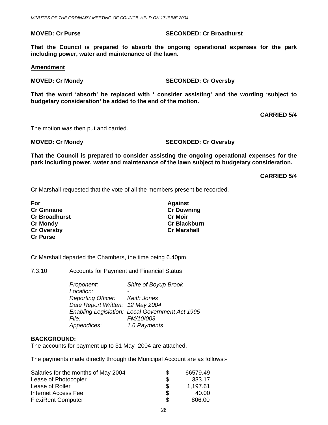**That the Council is prepared to absorb the ongoing operational expenses for the park including power, water and maintenance of the lawn.** 

#### **Amendment**

#### **MOVED: Cr Mondy SECONDED: Cr Oversby**

**That the word 'absorb' be replaced with ' consider assisting' and the wording 'subject to budgetary consideration' be added to the end of the motion.** 

**CARRIED 5/4** 

The motion was then put and carried.

**MOVED: Cr Mondy SECONDED: Cr Oversby** 

**That the Council is prepared to consider assisting the ongoing operational expenses for the park including power, water and maintenance of the lawn subject to budgetary consideration.** 

**CARRIED 5/4** 

Cr Marshall requested that the vote of all the members present be recorded.

| For                  | <b>Against</b>      |
|----------------------|---------------------|
| <b>Cr Ginnane</b>    | <b>Cr Downing</b>   |
| <b>Cr Broadhurst</b> | <b>Cr Moir</b>      |
| <b>Cr Mondy</b>      | <b>Cr Blackburn</b> |
| <b>Cr Oversby</b>    | <b>Cr Marshall</b>  |
| <b>Cr Purse</b>      |                     |

Cr Marshall departed the Chambers, the time being 6.40pm.

7.3.10 Accounts for Payment and Financial Status

*Proponent: Shire of Boyup Brook*  Location:  *Reporting Officer: Keith Jones Date Report Written: 12 May 2004 Enabling Legislation: Local Government Act 1995 File: FM/10/003 Appendices*: *1.6 Payments* 

#### **BACKGROUND:**

The accounts for payment up to 31 May 2004 are attached.

The payments made directly through the Municipal Account are as follows:-

| Salaries for the months of May 2004 | S   | 66579.49 |
|-------------------------------------|-----|----------|
| Lease of Photocopier                | \$  | 333.17   |
| Lease of Roller                     | S   | 1,197.61 |
| Internet Access Fee                 | \$. | 40.00    |
| <b>FlexiRent Computer</b>           | \$. | 806.00   |

**MOVED: Cr Purse SECONDED: Cr Broadhurst**  SECONDED: Cr Broadhurst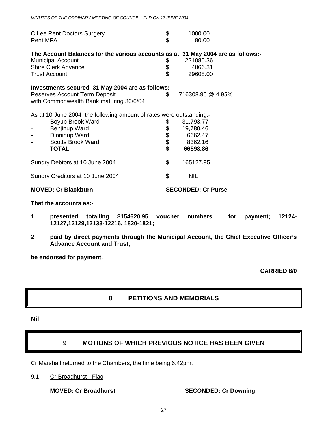| Rent MFA | C Lee Rent Doctors Surgery                                                       | \$<br>\$       | 1000.00<br>80.00          |  |
|----------|----------------------------------------------------------------------------------|----------------|---------------------------|--|
|          | The Account Balances for the various accounts as at 31 May 2004 are as follows:- |                |                           |  |
|          | <b>Municipal Account</b>                                                         | \$             | 221080.36                 |  |
|          | <b>Shire Clerk Advance</b>                                                       | \$             | 4066.31                   |  |
|          | <b>Trust Account</b>                                                             | \$             | 29608.00                  |  |
|          | Investments secured 31 May 2004 are as follows:-                                 |                |                           |  |
|          | Reserves Account Term Deposit                                                    | $\mathfrak{S}$ | 716308.95 @ 4.95%         |  |
|          | with Commonwealth Bank maturing 30/6/04                                          |                |                           |  |
|          | As at 10 June 2004 the following amount of rates were outstanding:-              |                |                           |  |
|          | Boyup Brook Ward                                                                 |                | 31,793.77                 |  |
|          | Benjinup Ward                                                                    | 88888          | 19,780.46                 |  |
|          | Dinninup Ward                                                                    |                | 6662.47                   |  |
|          | <b>Scotts Brook Ward</b>                                                         |                | 8362.16                   |  |
|          | <b>TOTAL</b>                                                                     |                | 66598.86                  |  |
|          | Sundry Debtors at 10 June 2004                                                   | \$             | 165127.95                 |  |
|          | Sundry Creditors at 10 June 2004                                                 | \$             | <b>NIL</b>                |  |
|          | <b>MOVED: Cr Blackburn</b>                                                       |                | <b>SECONDED: Cr Purse</b> |  |

#### **That the accounts as:-**

- **1 presented totalling \$154620.95 voucher numbers for payment; 12124- 12127,12129,12133-12216, 1820-1821;**
- **2 paid by direct payments through the Municipal Account, the Chief Executive Officer's Advance Account and Trust,**

**be endorsed for payment.** 

**CARRIED 8/0** 

#### **8 PETITIONS AND MEMORIALS**

#### **Nil**

### **9 MOTIONS OF WHICH PREVIOUS NOTICE HAS BEEN GIVEN**

Cr Marshall returned to the Chambers, the time being 6.42pm.

#### 9.1 Cr Broadhurst - Flag

**MOVED: Cr Broadhurst SECONDED: Cr Downing**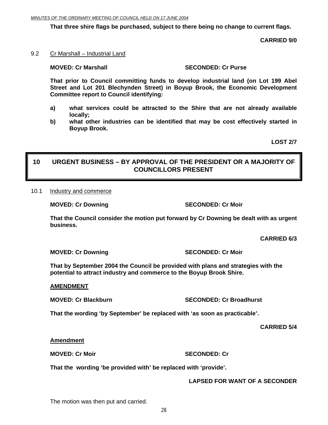**That three shire flags be purchased, subject to there being no change to current flags.** 

**CARRIED 9/0** 

9.2 Cr Marshall – Industrial Land

### **MOVED: Cr Marshall SECONDED: Cr Purse**

**That prior to Council committing funds to develop industrial land (on Lot 199 Abel Street and Lot 201 Blechynden Street) in Boyup Brook, the Economic Development Committee report to Council identifying:** 

- **a) what services could be attracted to the Shire that are not already available locally;**
- **b) what other industries can be identified that may be cost effectively started in Boyup Brook.**

**LOST 2/7** 

### **10 URGENT BUSINESS – BY APPROVAL OF THE PRESIDENT OR A MAJORITY OF COUNCILLORS PRESENT**

#### 10.1 Industry and commerce

**MOVED: Cr Downing SECONDED: Cr Moir** 

**That the Council consider the motion put forward by Cr Downing be dealt with as urgent business.** 

**CARRIED 6/3** 

**MOVED: Cr Downing SECONDED: Cr Moir** 

**That by September 2004 the Council be provided with plans and strategies with the potential to attract industry and commerce to the Boyup Brook Shire.** 

#### **AMENDMENT**

**MOVED: Cr Blackburn Cr Broadhurst Cr Broadhurst SECONDED: Cr Broadhurst** 

**That the wording 'by September' be replaced with 'as soon as practicable'.** 

**CARRIED 5/4** 

**Amendment**

**MOVED: Cr Moir** SECONDED: Cr

**That the wording 'be provided with' be replaced with 'provide'.** 

**LAPSED FOR WANT OF A SECONDER** 

The motion was then put and carried.